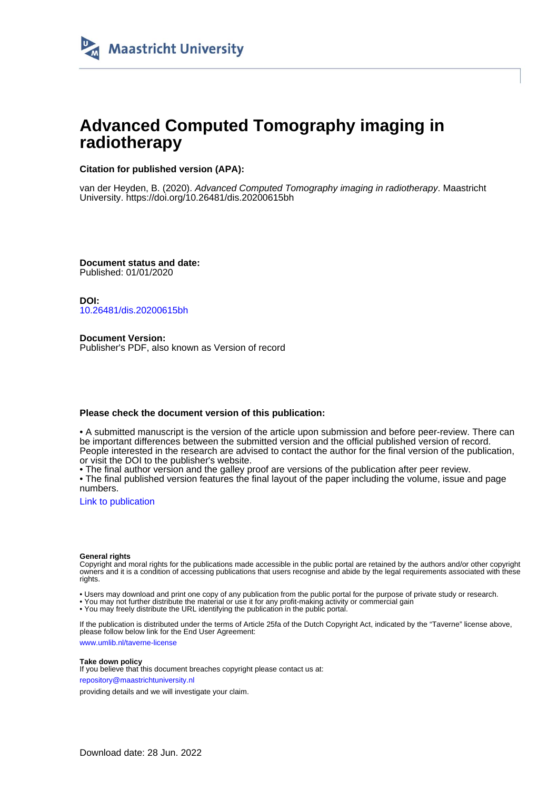

## **Advanced Computed Tomography imaging in radiotherapy**

#### **Citation for published version (APA):**

van der Heyden, B. (2020). Advanced Computed Tomography imaging in radiotherapy. Maastricht University.<https://doi.org/10.26481/dis.20200615bh>

**Document status and date:** Published: 01/01/2020

**DOI:** [10.26481/dis.20200615bh](https://doi.org/10.26481/dis.20200615bh)

**Document Version:** Publisher's PDF, also known as Version of record

#### **Please check the document version of this publication:**

• A submitted manuscript is the version of the article upon submission and before peer-review. There can be important differences between the submitted version and the official published version of record. People interested in the research are advised to contact the author for the final version of the publication, or visit the DOI to the publisher's website.

• The final author version and the galley proof are versions of the publication after peer review.

• The final published version features the final layout of the paper including the volume, issue and page numbers.

[Link to publication](https://cris.maastrichtuniversity.nl/en/publications/8cd70c95-8922-4225-8f82-c137465f3095)

#### **General rights**

Copyright and moral rights for the publications made accessible in the public portal are retained by the authors and/or other copyright owners and it is a condition of accessing publications that users recognise and abide by the legal requirements associated with these rights.

• Users may download and print one copy of any publication from the public portal for the purpose of private study or research.

• You may not further distribute the material or use it for any profit-making activity or commercial gain

• You may freely distribute the URL identifying the publication in the public portal.

If the publication is distributed under the terms of Article 25fa of the Dutch Copyright Act, indicated by the "Taverne" license above, please follow below link for the End User Agreement:

www.umlib.nl/taverne-license

#### **Take down policy**

If you believe that this document breaches copyright please contact us at: repository@maastrichtuniversity.nl

providing details and we will investigate your claim.